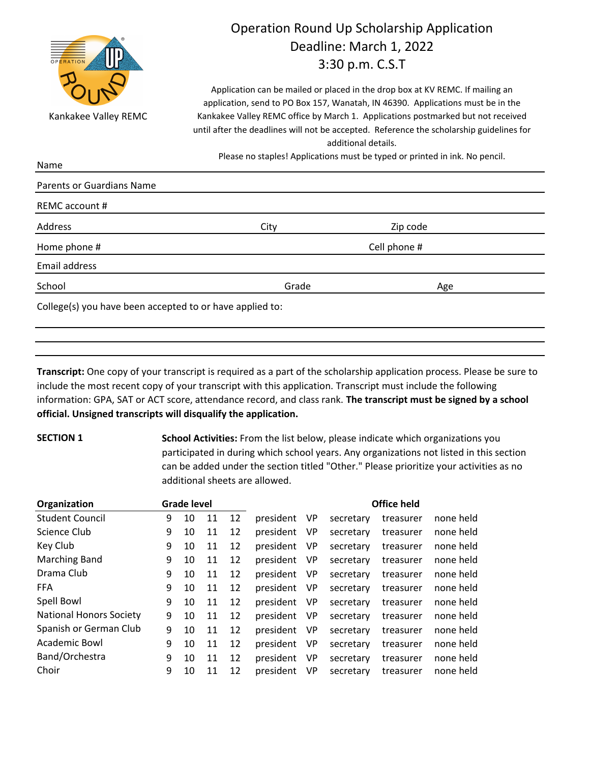

Name

# Operation Round Up Scholarship Application Deadline: March 1, 2022 3:30 p.m. C.S.T

Application can be mailed or placed in the drop box at KV REMC. If mailing an application, send to PO Box 157, Wanatah, IN 46390. Applications must be in the Kankakee Valley REMC office by March 1. Applications postmarked but not received until after the deadlines will not be accepted. Reference the scholarship guidelines for additional details.

Please no staples! Applications must be typed or printed in ink. No pencil.

| REMC account # |       |              |  |
|----------------|-------|--------------|--|
| Address        | City  | Zip code     |  |
| Home phone #   |       | Cell phone # |  |
| Email address  |       |              |  |
| School         | Grade | Age          |  |

**Transcript:** One copy of your transcript is required as a part of the scholarship application process. Please be sure to include the most recent copy of your transcript with this application. Transcript must include the following information: GPA, SAT or ACT score, attendance record, and class rank. **The transcript must be signed by a school official. Unsigned transcripts will disqualify the application.**

**SECTION 1 School Activities:** From the list below, please indicate which organizations you participated in during which school years. Any organizations not listed in this section can be added under the section titled "Other." Please prioritize your activities as no additional sheets are allowed.

| Organization                   |   | <b>Grade level</b> |    |    |           | <b>Office held</b> |           |           |           |
|--------------------------------|---|--------------------|----|----|-----------|--------------------|-----------|-----------|-----------|
| <b>Student Council</b>         | 9 | 10                 | 11 | 12 | president | VP                 | secretary | treasurer | none held |
| Science Club                   | 9 | 10                 | 11 | 12 | president | <b>VP</b>          | secretary | treasurer | none held |
| Key Club                       | 9 | 10                 | 11 | 12 | president | VP                 | secretary | treasurer | none held |
| Marching Band                  | 9 | 10                 | 11 | 12 | president | VP                 | secretary | treasurer | none held |
| Drama Club                     | 9 | 10                 | 11 | 12 | president | VP                 | secretary | treasurer | none held |
| <b>FFA</b>                     | 9 | 10                 | 11 | 12 | president | <b>VP</b>          | secretary | treasurer | none held |
| Spell Bowl                     | 9 | 10                 | 11 | 12 | president | <b>VP</b>          | secretary | treasurer | none held |
| <b>National Honors Society</b> | 9 | 10                 | 11 | 12 | president | <b>VP</b>          | secretary | treasurer | none held |
| Spanish or German Club         | 9 | 10                 | 11 | 12 | president | VP                 | secretary | treasurer | none held |
| Academic Bowl                  | 9 | 10                 | 11 | 12 | president | <b>VP</b>          | secretary | treasurer | none held |
| Band/Orchestra                 | 9 | 10                 | 11 | 12 | president | <b>VP</b>          | secretary | treasurer | none held |
| Choir                          | 9 | 10                 | 11 | 12 | president | <b>VP</b>          | secretary | treasurer | none held |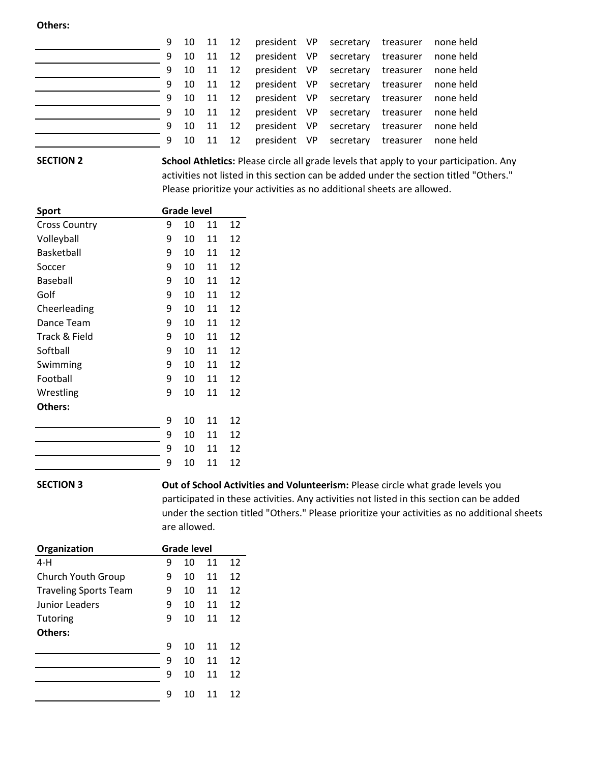#### **Others:**

|   |            |          | 9 10 11 12 president VP secretary treasurer none held |                                            |  |
|---|------------|----------|-------------------------------------------------------|--------------------------------------------|--|
|   | 9 10 11 12 |          |                                                       | president VP secretary treasurer none held |  |
|   |            |          | 9 10 11 12 president VP secretary treasurer none held |                                            |  |
|   |            |          | 9 10 11 12 president VP secretary treasurer none held |                                            |  |
|   |            |          | 9 10 11 12 president VP secretary treasurer none held |                                            |  |
|   |            |          | 9 10 11 12 president VP secretary treasurer none held |                                            |  |
| 9 |            | 10 11 12 |                                                       | president VP secretary treasurer none held |  |
|   |            |          | 9 10 11 12 president VP secretary treasurer none held |                                            |  |

## **SECTION 2**

**School Athletics:** Please circle all grade levels that apply to your participation. Any activities not listed in this section can be added under the section titled "Others." Please prioritize your activities as no additional sheets are allowed.

| <b>Sport</b>         | <b>Grade level</b> |    |    |    |
|----------------------|--------------------|----|----|----|
| <b>Cross Country</b> | 9                  | 10 | 11 | 12 |
| Volleyball           | 9                  | 10 | 11 | 12 |
| Basketball           | 9                  | 10 | 11 | 12 |
| Soccer               | 9                  | 10 | 11 | 12 |
| Baseball             | 9                  | 10 | 11 | 12 |
| Golf                 | 9                  | 10 | 11 | 12 |
| Cheerleading         | 9                  | 10 | 11 | 12 |
| Dance Team           | 9                  | 10 | 11 | 12 |
| Track & Field        | 9                  | 10 | 11 | 12 |
| Softball             | 9                  | 10 | 11 | 12 |
| Swimming             | 9                  | 10 | 11 | 12 |
| Football             | 9                  | 10 | 11 | 12 |
| Wrestling            | 9                  | 10 | 11 | 12 |
| Others:              |                    |    |    |    |
|                      | 9                  | 10 | 11 | 12 |
|                      | 9                  | 10 | 11 | 12 |
|                      | 9                  | 10 | 11 | 12 |
|                      | 9                  | 10 | 11 | 12 |

## **SECTION 3**

**Out of School Activities and Volunteerism:** Please circle what grade levels you participated in these activities. Any activities not listed in this section can be added under the section titled "Others." Please prioritize your activities as no additional sheets are allowed.

| Organization                 |   | <b>Grade level</b> |    |    |  |  |
|------------------------------|---|--------------------|----|----|--|--|
| 4-H                          | 9 | 10                 | 11 | 12 |  |  |
| Church Youth Group           | 9 | 10                 | 11 | 12 |  |  |
| <b>Traveling Sports Team</b> | 9 | 10                 | 11 | 12 |  |  |
| Junior Leaders               | 9 | 10                 | 11 | 12 |  |  |
| Tutoring                     | 9 | 10                 | 11 | 12 |  |  |
| Others:                      |   |                    |    |    |  |  |
|                              | 9 | 10                 | 11 | 12 |  |  |
|                              | 9 | 10                 | 11 | 12 |  |  |
|                              | 9 | 10                 | 11 | 12 |  |  |
|                              | 9 | 10                 | 11 | 12 |  |  |